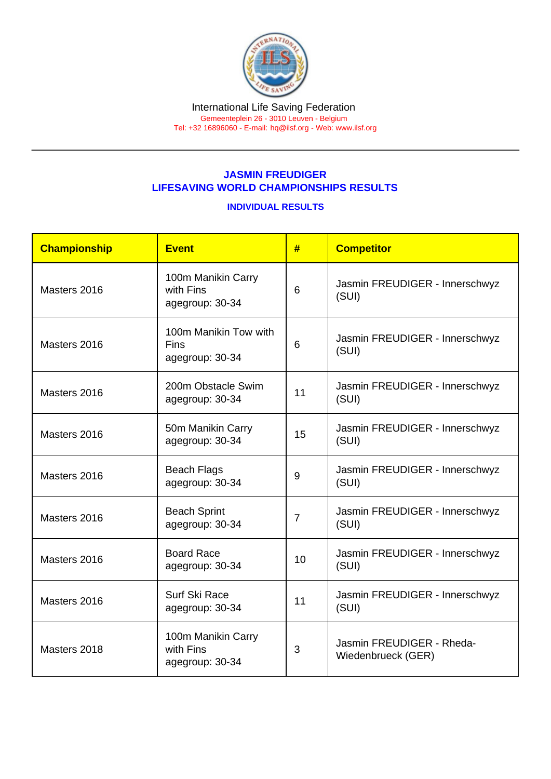## JASMIN FREUDIGER LIFESAVING WORLD CHAMPIONSHIPS RESULTS

## INDIVIDUAL RESULTS

| Championship | <b>Event</b>                                            | #              | <b>Competitor</b>                               |
|--------------|---------------------------------------------------------|----------------|-------------------------------------------------|
| Masters 2016 | 100m Manikin Carry<br>with Fins<br>agegroup: 30-34      | 6              | Jasmin FREUDIGER - Innerschwyz<br>(SUI)         |
| Masters 2016 | 100m Manikin Tow with<br><b>Fins</b><br>agegroup: 30-34 | 6              | Jasmin FREUDIGER - Innerschwyz<br>(SUI)         |
| Masters 2016 | 200m Obstacle Swim<br>agegroup: 30-34                   | 11             | Jasmin FREUDIGER - Innerschwyz<br>(SUI)         |
| Masters 2016 | 50m Manikin Carry<br>agegroup: 30-34                    | 15             | Jasmin FREUDIGER - Innerschwyz<br>(SUI)         |
| Masters 2016 | <b>Beach Flags</b><br>agegroup: 30-34                   | 9              | Jasmin FREUDIGER - Innerschwyz<br>(SUI)         |
| Masters 2016 | <b>Beach Sprint</b><br>agegroup: 30-34                  | $\overline{7}$ | Jasmin FREUDIGER - Innerschwyz<br>(SUI)         |
| Masters 2016 | <b>Board Race</b><br>agegroup: 30-34                    | 10             | Jasmin FREUDIGER - Innerschwyz<br>(SUI)         |
| Masters 2016 | Surf Ski Race<br>agegroup: 30-34                        | 11             | Jasmin FREUDIGER - Innerschwyz<br>(SUI)         |
| Masters 2018 | 100m Manikin Carry<br>with Fins<br>agegroup: 30-34      | 3              | Jasmin FREUDIGER - Rheda-<br>Wiedenbrueck (GER) |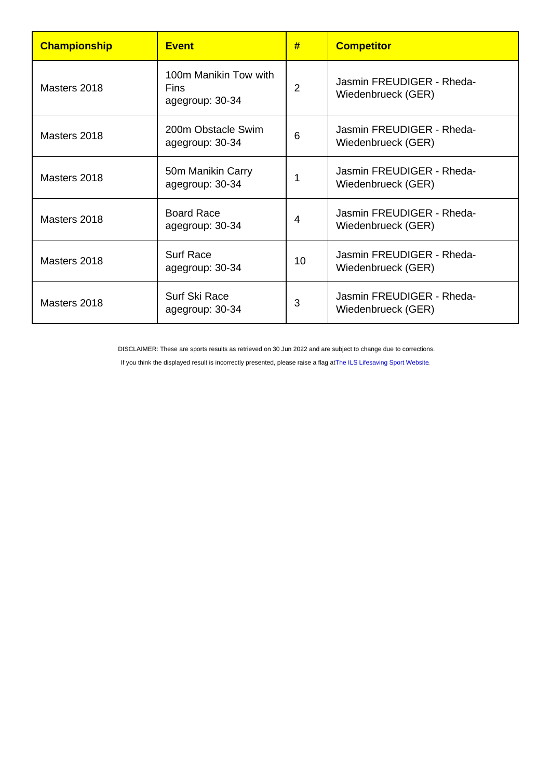| Championship | <b>Fvent</b>                                     | #               | <b>Competitor</b>                               |
|--------------|--------------------------------------------------|-----------------|-------------------------------------------------|
| Masters 2018 | 100m Manikin Tow with<br>Fins<br>agegroup: 30-34 | 2               | Jasmin FREUDIGER - Rheda-<br>Wiedenbrueck (GER) |
| Masters 2018 | 200m Obstacle Swim<br>agegroup: 30-34            | 6               | Jasmin FREUDIGER - Rheda-<br>Wiedenbrueck (GER) |
| Masters 2018 | 50m Manikin Carry<br>agegroup: 30-34             |                 | Jasmin FREUDIGER - Rheda-<br>Wiedenbrueck (GER) |
| Masters 2018 | <b>Board Race</b><br>agegroup: 30-34             | 4               | Jasmin FREUDIGER - Rheda-<br>Wiedenbrueck (GER) |
| Masters 2018 | <b>Surf Race</b><br>agegroup: 30-34              | 10 <sup>°</sup> | Jasmin FREUDIGER - Rheda-<br>Wiedenbrueck (GER) |
| Masters 2018 | Surf Ski Race<br>agegroup: 30-34                 | 3               | Jasmin FREUDIGER - Rheda-<br>Wiedenbrueck (GER) |

DISCLAIMER: These are sports results as retrieved on 30 Jun 2022 and are subject to change due to corrections.

If you think the displayed result is incorrectly presented, please raise a flag at [The ILS Lifesaving Sport Website.](https://sport.ilsf.org)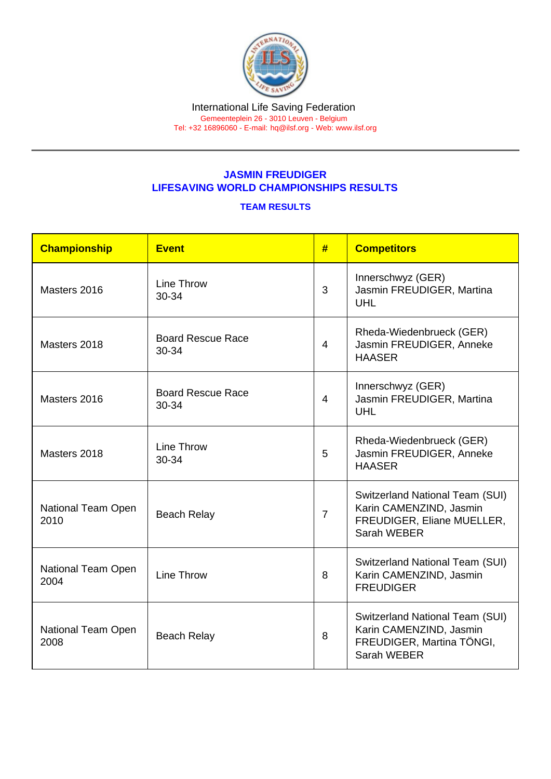## JASMIN FREUDIGER LIFESAVING WORLD CHAMPIONSHIPS RESULTS

## TEAM RESULTS

| Championship               | Event                             | #              | <b>Competitors</b>                                                                                      |
|----------------------------|-----------------------------------|----------------|---------------------------------------------------------------------------------------------------------|
| Masters 2016               | <b>Line Throw</b><br>30-34        | 3              | Innerschwyz (GER)<br>Jasmin FREUDIGER, Martina<br><b>UHL</b>                                            |
| Masters 2018               | <b>Board Rescue Race</b><br>30-34 | 4              | Rheda-Wiedenbrueck (GER)<br>Jasmin FREUDIGER, Anneke<br><b>HAASER</b>                                   |
| Masters 2016               | <b>Board Rescue Race</b><br>30-34 | 4              | Innerschwyz (GER)<br>Jasmin FREUDIGER, Martina<br><b>UHL</b>                                            |
| Masters 2018               | Line Throw<br>30-34               | 5              | Rheda-Wiedenbrueck (GER)<br>Jasmin FREUDIGER, Anneke<br><b>HAASER</b>                                   |
| National Team Open<br>2010 | <b>Beach Relay</b>                | $\overline{7}$ | Switzerland National Team (SUI)<br>Karin CAMENZIND, Jasmin<br>FREUDIGER, Eliane MUELLER,<br>Sarah WEBER |
| National Team Open<br>2004 | Line Throw                        | 8              | Switzerland National Team (SUI)<br>Karin CAMENZIND, Jasmin<br><b>FREUDIGER</b>                          |
| National Team Open<br>2008 | <b>Beach Relay</b>                | 8              | Switzerland National Team (SUI)<br>Karin CAMENZIND, Jasmin<br>FREUDIGER, Martina TÖNGI,<br>Sarah WEBER  |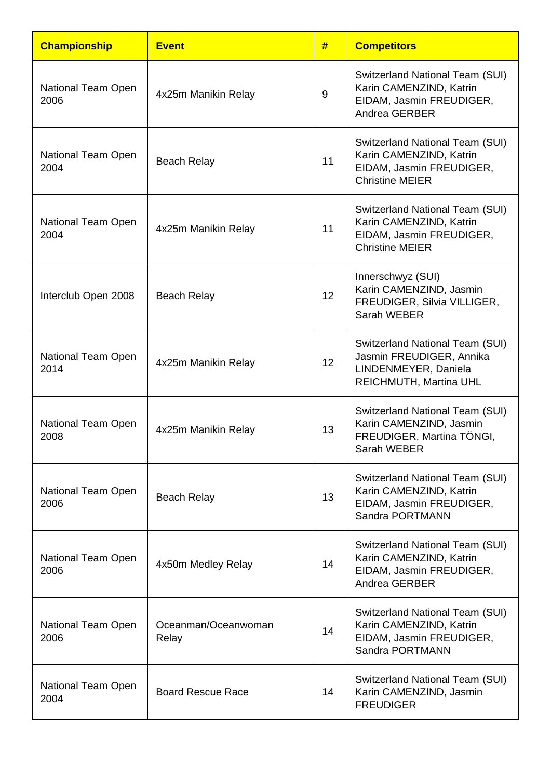| <b>Championship</b>        | <b>Event</b>                 | #  | <b>Competitors</b>                                                                                               |
|----------------------------|------------------------------|----|------------------------------------------------------------------------------------------------------------------|
| National Team Open<br>2006 | 4x25m Manikin Relay          | 9  | Switzerland National Team (SUI)<br>Karin CAMENZIND, Katrin<br>EIDAM, Jasmin FREUDIGER,<br>Andrea GERBER          |
| National Team Open<br>2004 | <b>Beach Relay</b>           | 11 | Switzerland National Team (SUI)<br>Karin CAMENZIND, Katrin<br>EIDAM, Jasmin FREUDIGER,<br><b>Christine MEIER</b> |
| National Team Open<br>2004 | 4x25m Manikin Relay          | 11 | Switzerland National Team (SUI)<br>Karin CAMENZIND, Katrin<br>EIDAM, Jasmin FREUDIGER,<br><b>Christine MEIER</b> |
| Interclub Open 2008        | <b>Beach Relay</b>           | 12 | Innerschwyz (SUI)<br>Karin CAMENZIND, Jasmin<br>FREUDIGER, Silvia VILLIGER,<br>Sarah WEBER                       |
| National Team Open<br>2014 | 4x25m Manikin Relay          | 12 | Switzerland National Team (SUI)<br>Jasmin FREUDIGER, Annika<br>LINDENMEYER, Daniela<br>REICHMUTH, Martina UHL    |
| National Team Open<br>2008 | 4x25m Manikin Relay          | 13 | Switzerland National Team (SUI)<br>Karin CAMENZIND, Jasmin<br>FREUDIGER, Martina TÖNGI,<br>Sarah WEBER           |
| National Team Open<br>2006 | <b>Beach Relay</b>           | 13 | Switzerland National Team (SUI)<br>Karin CAMENZIND, Katrin<br>EIDAM, Jasmin FREUDIGER,<br>Sandra PORTMANN        |
| National Team Open<br>2006 | 4x50m Medley Relay           | 14 | Switzerland National Team (SUI)<br>Karin CAMENZIND, Katrin<br>EIDAM, Jasmin FREUDIGER,<br>Andrea GERBER          |
| National Team Open<br>2006 | Oceanman/Oceanwoman<br>Relay | 14 | Switzerland National Team (SUI)<br>Karin CAMENZIND, Katrin<br>EIDAM, Jasmin FREUDIGER,<br>Sandra PORTMANN        |
| National Team Open<br>2004 | <b>Board Rescue Race</b>     | 14 | Switzerland National Team (SUI)<br>Karin CAMENZIND, Jasmin<br><b>FREUDIGER</b>                                   |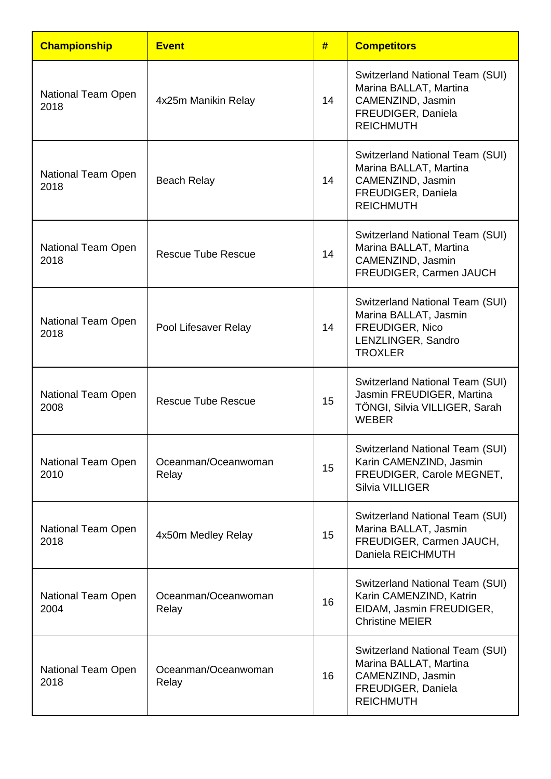| <b>Championship</b>               | <b>Event</b>                 | #  | <b>Competitors</b>                                                                                                       |
|-----------------------------------|------------------------------|----|--------------------------------------------------------------------------------------------------------------------------|
| National Team Open<br>2018        | 4x25m Manikin Relay          | 14 | Switzerland National Team (SUI)<br>Marina BALLAT, Martina<br>CAMENZIND, Jasmin<br>FREUDIGER, Daniela<br><b>REICHMUTH</b> |
| National Team Open<br>2018        | <b>Beach Relay</b>           | 14 | Switzerland National Team (SUI)<br>Marina BALLAT, Martina<br>CAMENZIND, Jasmin<br>FREUDIGER, Daniela<br><b>REICHMUTH</b> |
| <b>National Team Open</b><br>2018 | <b>Rescue Tube Rescue</b>    | 14 | Switzerland National Team (SUI)<br>Marina BALLAT, Martina<br>CAMENZIND, Jasmin<br>FREUDIGER, Carmen JAUCH                |
| National Team Open<br>2018        | Pool Lifesaver Relay         | 14 | Switzerland National Team (SUI)<br>Marina BALLAT, Jasmin<br>FREUDIGER, Nico<br>LENZLINGER, Sandro<br><b>TROXLER</b>      |
| National Team Open<br>2008        | <b>Rescue Tube Rescue</b>    | 15 | <b>Switzerland National Team (SUI)</b><br>Jasmin FREUDIGER, Martina<br>TÖNGI, Silvia VILLIGER, Sarah<br><b>WEBER</b>     |
| National Team Open<br>2010        | Oceanman/Oceanwoman<br>Relay | 15 | Switzerland National Team (SUI)<br>Karin CAMENZIND, Jasmin<br>FREUDIGER, Carole MEGNET,<br><b>Silvia VILLIGER</b>        |
| National Team Open<br>2018        | 4x50m Medley Relay           | 15 | <b>Switzerland National Team (SUI)</b><br>Marina BALLAT, Jasmin<br>FREUDIGER, Carmen JAUCH,<br>Daniela REICHMUTH         |
| National Team Open<br>2004        | Oceanman/Oceanwoman<br>Relay | 16 | Switzerland National Team (SUI)<br>Karin CAMENZIND, Katrin<br>EIDAM, Jasmin FREUDIGER,<br><b>Christine MEIER</b>         |
| National Team Open<br>2018        | Oceanman/Oceanwoman<br>Relay | 16 | Switzerland National Team (SUI)<br>Marina BALLAT, Martina<br>CAMENZIND, Jasmin<br>FREUDIGER, Daniela<br><b>REICHMUTH</b> |